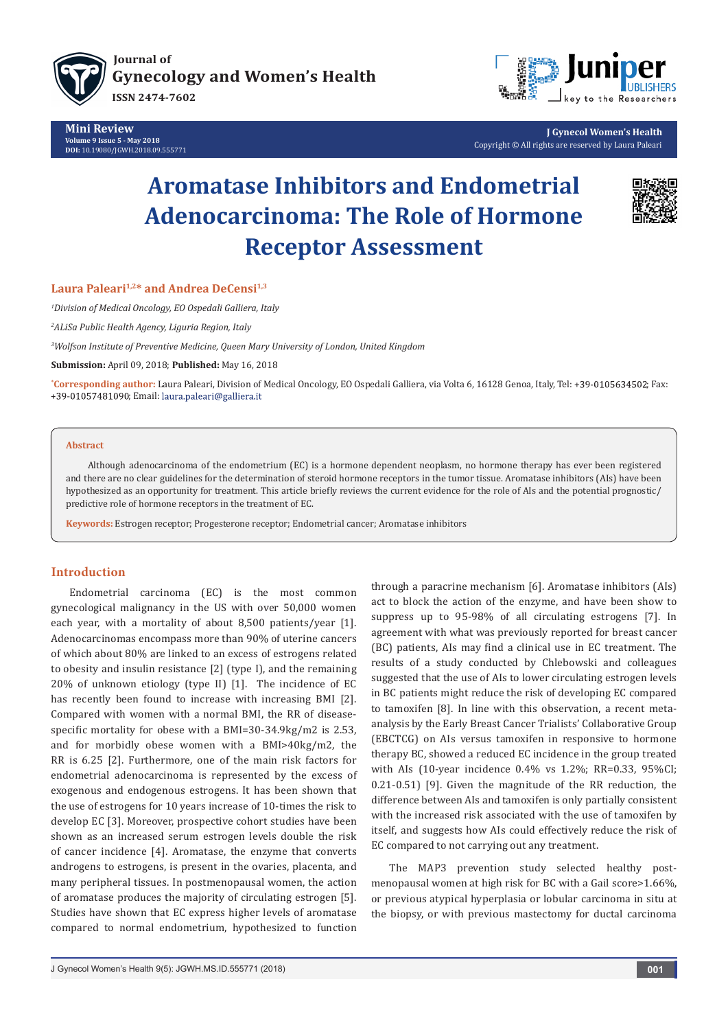

**Mini Review Volume 9 Issue 5 - May 2018 DOI:** [10.19080/JGWH.2018.09.555771](http://dx.doi.org/10.19080/JGWH.2018.09.555771)



**J Gynecol Women's Health** Copyright © All rights are reserved by Laura Paleari

# **Aromatase Inhibitors and Endometrial Adenocarcinoma: The Role of Hormone Receptor Assessment**



## Laura Paleari<sup>1,2\*</sup> and Andrea DeCensi<sup>1,3</sup>

*1 Division of Medical Oncology, EO Ospedali Galliera, Italy*

*2 ALiSa Public Health Agency, Liguria Region, Italy* 

*3 Wolfson Institute of Preventive Medicine, Queen Mary University of London, United Kingdom*

**Submission:** April 09, 2018; **Published:** May 16, 2018

**\*Corresponding author:** Laura Paleari, Division of Medical Oncology, EO Ospedali Galliera, via Volta 6, 16128 Genoa, Italy, Tel: +39-0105634502; Fax: +39-01057481090; Email: laura.paleari@galliera.it

#### **Abstract**

Although adenocarcinoma of the endometrium (EC) is a hormone dependent neoplasm, no hormone therapy has ever been registered and there are no clear guidelines for the determination of steroid hormone receptors in the tumor tissue. Aromatase inhibitors (AIs) have been hypothesized as an opportunity for treatment. This article briefly reviews the current evidence for the role of AIs and the potential prognostic/ predictive role of hormone receptors in the treatment of EC.

**Keywords:** Estrogen receptor; Progesterone receptor; Endometrial cancer; Aromatase inhibitors

# **Introduction**

Endometrial carcinoma (EC) is the most common gynecological malignancy in the US with over 50,000 women each year, with a mortality of about 8,500 patients/year [1]. Adenocarcinomas encompass more than 90% of uterine cancers of which about 80% are linked to an excess of estrogens related to obesity and insulin resistance [2] (type I), and the remaining 20% of unknown etiology (type II) [1]. The incidence of EC has recently been found to increase with increasing BMI [2]. Compared with women with a normal BMI, the RR of diseasespecific mortality for obese with a BMI=30-34.9kg/m2 is 2.53, and for morbidly obese women with a BMI>40kg/m2, the RR is 6.25 [2]. Furthermore, one of the main risk factors for endometrial adenocarcinoma is represented by the excess of exogenous and endogenous estrogens. It has been shown that the use of estrogens for 10 years increase of 10-times the risk to develop EC [3]. Moreover, prospective cohort studies have been shown as an increased serum estrogen levels double the risk of cancer incidence [4]. Aromatase, the enzyme that converts androgens to estrogens, is present in the ovaries, placenta, and many peripheral tissues. In postmenopausal women, the action of aromatase produces the majority of circulating estrogen [5]. Studies have shown that EC express higher levels of aromatase compared to normal endometrium, hypothesized to function

through a paracrine mechanism [6]. Aromatase inhibitors (AIs) act to block the action of the enzyme, and have been show to suppress up to 95-98% of all circulating estrogens [7]. In agreement with what was previously reported for breast cancer (BC) patients, AIs may find a clinical use in EC treatment. The results of a study conducted by Chlebowski and colleagues suggested that the use of AIs to lower circulating estrogen levels in BC patients might reduce the risk of developing EC compared to tamoxifen [8]. In line with this observation, a recent metaanalysis by the Early Breast Cancer Trialists' Collaborative Group (EBCTCG) on AIs versus tamoxifen in responsive to hormone therapy BC, showed a reduced EC incidence in the group treated with AIs (10-year incidence 0.4% vs 1.2%; RR=0.33, 95%CI; 0.21-0.51) [9]. Given the magnitude of the RR reduction, the difference between AIs and tamoxifen is only partially consistent with the increased risk associated with the use of tamoxifen by itself, and suggests how AIs could effectively reduce the risk of EC compared to not carrying out any treatment.

The MAP3 prevention study selected healthy postmenopausal women at high risk for BC with a Gail score>1.66%, or previous atypical hyperplasia or lobular carcinoma in situ at the biopsy, or with previous mastectomy for ductal carcinoma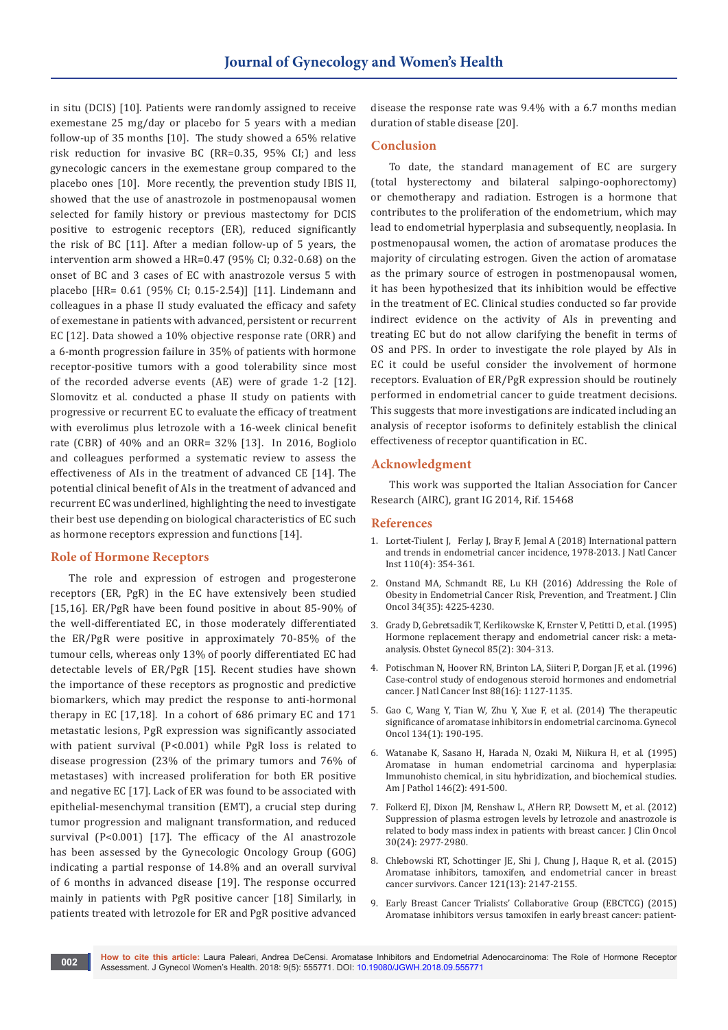in situ (DCIS) [10]. Patients were randomly assigned to receive exemestane 25 mg/day or placebo for 5 years with a median follow-up of 35 months [10]. The study showed a 65% relative risk reduction for invasive BC (RR=0.35, 95% CI;) and less gynecologic cancers in the exemestane group compared to the placebo ones [10]. More recently, the prevention study IBIS II, showed that the use of anastrozole in postmenopausal women selected for family history or previous mastectomy for DCIS positive to estrogenic receptors (ER), reduced significantly the risk of BC [11]. After a median follow-up of 5 years, the intervention arm showed a HR=0.47 (95% CI; 0.32-0.68) on the onset of BC and 3 cases of EC with anastrozole versus 5 with placebo [HR= 0.61 (95% CI; 0.15-2.54)] [11]. Lindemann and colleagues in a phase II study evaluated the efficacy and safety of exemestane in patients with advanced, persistent or recurrent EC [12]. Data showed a 10% objective response rate (ORR) and a 6-month progression failure in 35% of patients with hormone receptor-positive tumors with a good tolerability since most of the recorded adverse events (AE) were of grade 1-2 [12]. Slomovitz et al. conducted a phase II study on patients with progressive or recurrent EC to evaluate the efficacy of treatment with everolimus plus letrozole with a 16-week clinical benefit rate (CBR) of 40% and an ORR= 32% [13]. In 2016, Bogliolo and colleagues performed a systematic review to assess the effectiveness of AIs in the treatment of advanced CE [14]. The potential clinical benefit of AIs in the treatment of advanced and recurrent EC was underlined, highlighting the need to investigate their best use depending on biological characteristics of EC such as hormone receptors expression and functions [14].

## **Role of Hormone Receptors**

The role and expression of estrogen and progesterone receptors (ER, PgR) in the EC have extensively been studied [15,16]. ER/PgR have been found positive in about 85-90% of the well-differentiated EC, in those moderately differentiated the ER/PgR were positive in approximately 70-85% of the tumour cells, whereas only 13% of poorly differentiated EC had detectable levels of ER/PgR [15]. Recent studies have shown the importance of these receptors as prognostic and predictive biomarkers, which may predict the response to anti-hormonal therapy in EC [17,18]. In a cohort of 686 primary EC and 171 metastatic lesions, PgR expression was significantly associated with patient survival (P<0.001) while PgR loss is related to disease progression (23% of the primary tumors and 76% of metastases) with increased proliferation for both ER positive and negative EC [17]. Lack of ER was found to be associated with epithelial-mesenchymal transition (EMT), a crucial step during tumor progression and malignant transformation, and reduced survival (P<0.001) [17]. The efficacy of the AI anastrozole has been assessed by the Gynecologic Oncology Group (GOG) indicating a partial response of 14.8% and an overall survival of 6 months in advanced disease [19]. The response occurred mainly in patients with PgR positive cancer [18] Similarly, in patients treated with letrozole for ER and PgR positive advanced

disease the response rate was 9.4% with a 6.7 months median duration of stable disease [20].

#### **Conclusion**

To date, the standard management of EC are surgery (total hysterectomy and bilateral salpingo-oophorectomy) or chemotherapy and radiation. Estrogen is a hormone that contributes to the proliferation of the endometrium, which may lead to endometrial hyperplasia and subsequently, neoplasia. In postmenopausal women, the action of aromatase produces the majority of circulating estrogen. Given the action of aromatase as the primary source of estrogen in postmenopausal women, it has been hypothesized that its inhibition would be effective in the treatment of EC. Clinical studies conducted so far provide indirect evidence on the activity of AIs in preventing and treating EC but do not allow clarifying the benefit in terms of OS and PFS. In order to investigate the role played by AIs in EC it could be useful consider the involvement of hormone receptors. Evaluation of ER/PgR expression should be routinely performed in endometrial cancer to guide treatment decisions. This suggests that more investigations are indicated including an analysis of receptor isoforms to definitely establish the clinical effectiveness of receptor quantification in EC.

#### **Acknowledgment**

This work was supported the Italian Association for Cancer Research (AIRC), grant IG 2014, Rif. 15468

#### **References**

- 1. Lortet-Tiulent J, Ferlay J, Bray F, [Jemal A \(2018\) International pattern](https://www.ncbi.nlm.nih.gov/pubmed/29045681)  [and trends in endometrial cancer incidence, 1978-2013. J Natl Cancer](https://www.ncbi.nlm.nih.gov/pubmed/29045681)  [Inst 110\(4\): 354-361.](https://www.ncbi.nlm.nih.gov/pubmed/29045681)
- 2. Onstand MA, Schmandt RE, [Lu KH \(2016\) Addressing the Role of](https://www.ncbi.nlm.nih.gov/pubmed/27903150/)  [Obesity in Endometrial Cancer Risk, Prevention, and Treatment. J Clin](https://www.ncbi.nlm.nih.gov/pubmed/27903150/)  [Oncol 34\(35\): 4225-4230.](https://www.ncbi.nlm.nih.gov/pubmed/27903150/)
- 3. [Grady D, Gebretsadik T,](https://www.ncbi.nlm.nih.gov/pubmed/7824251) Kerlikowske K, Ernster V, Petitti D, et al. (1995) [Hormone replacement therapy and endometrial cancer risk: a meta](https://www.ncbi.nlm.nih.gov/pubmed/7824251)[analysis. Obstet Gynecol 85\(2\): 304-313.](https://www.ncbi.nlm.nih.gov/pubmed/7824251)
- 4. [Potischman N, Hoover RN,](https://www.ncbi.nlm.nih.gov/pubmed/8757192) Brinton LA, Siiteri P, Dorgan JF, et al. (1996) [Case-control study of endogenous steroid hormones and endometrial](https://www.ncbi.nlm.nih.gov/pubmed/8757192)  [cancer. J Natl Cancer Inst 88\(16\): 1127-1135.](https://www.ncbi.nlm.nih.gov/pubmed/8757192)
- 5. Gao C, Wang Y, Tian W, Zhu Y, [Xue F, et al. \(2014\) The therapeutic](https://www.ncbi.nlm.nih.gov/pubmed/24811574)  [significance of aromatase inhibitors in endometrial carcinoma. Gynecol](https://www.ncbi.nlm.nih.gov/pubmed/24811574)  [Oncol 134\(1\): 190-195.](https://www.ncbi.nlm.nih.gov/pubmed/24811574)
- 6. Watanabe K, Sasano H, Harada N, Ozaki M, [Niikura H, et al. \(1995\)](https://www.ncbi.nlm.nih.gov/pubmed/7856758)  [Aromatase in human endometrial carcinoma and hyperplasia:](https://www.ncbi.nlm.nih.gov/pubmed/7856758)  [Immunohisto chemical, in situ hybridization, and biochemical studies.](https://www.ncbi.nlm.nih.gov/pubmed/7856758)  [Am J Pathol 146\(2\): 491-500.](https://www.ncbi.nlm.nih.gov/pubmed/7856758)
- 7. Folkerd EJ, Dixon JM, Renshaw L, A'Hern RP, [Dowsett M, et al. \(2012\)](https://www.ncbi.nlm.nih.gov/pubmed/22802308)  [Suppression of plasma estrogen levels by letrozole and anastrozole is](https://www.ncbi.nlm.nih.gov/pubmed/22802308)  [related to body mass index in patients with breast cancer. J Clin Oncol](https://www.ncbi.nlm.nih.gov/pubmed/22802308)  [30\(24\): 2977-2980.](https://www.ncbi.nlm.nih.gov/pubmed/22802308)
- 8. [Chlebowski RT, Schottinger JE, Shi J, Chung J,](https://www.ncbi.nlm.nih.gov/pubmed/25757699) Haque R, et al. (2015) [Aromatase inhibitors, tamoxifen, and endometrial cancer in breast](https://www.ncbi.nlm.nih.gov/pubmed/25757699)  [cancer survivors. Cancer 121\(13\): 2147-2155.](https://www.ncbi.nlm.nih.gov/pubmed/25757699)
- 9. [Early Breast Cancer Trialists' Collaborative Group \(EBCTCG\) \(2015\)](https://www.thelancet.com/journals/lancet/article/PIIS0140-6736(15)61074-1/abstract)  [Aromatase inhibitors versus tamoxifen in early breast cancer: patient-](https://www.thelancet.com/journals/lancet/article/PIIS0140-6736(15)61074-1/abstract)